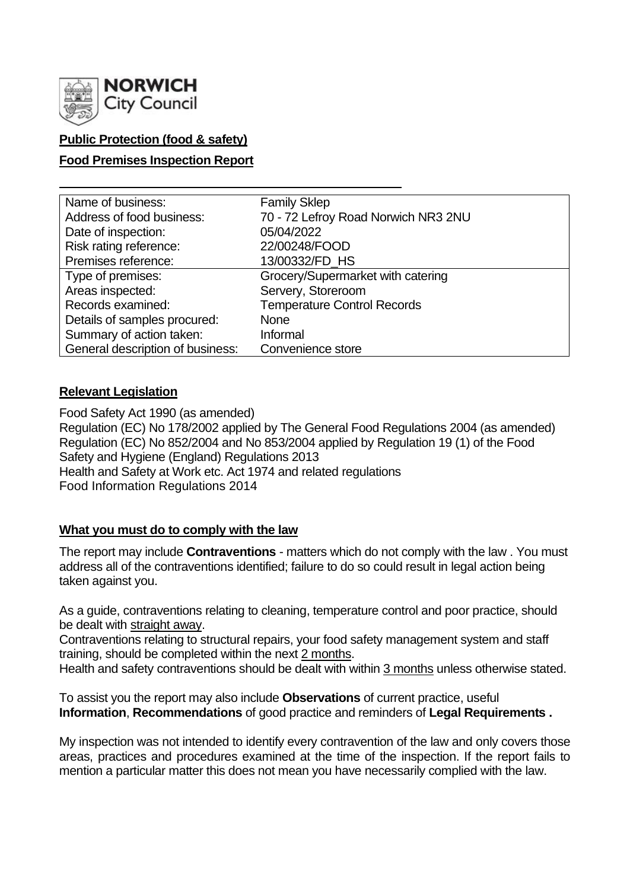

## **Public Protection (food & safety)**

### **Food Premises Inspection Report**

| Name of business:                | <b>Family Sklep</b>                 |
|----------------------------------|-------------------------------------|
| Address of food business:        | 70 - 72 Lefroy Road Norwich NR3 2NU |
| Date of inspection:              | 05/04/2022                          |
| Risk rating reference:           | 22/00248/FOOD                       |
| Premises reference:              | 13/00332/FD_HS                      |
| Type of premises:                | Grocery/Supermarket with catering   |
| Areas inspected:                 | Servery, Storeroom                  |
| Records examined:                | <b>Temperature Control Records</b>  |
| Details of samples procured:     | <b>None</b>                         |
| Summary of action taken:         | Informal                            |
| General description of business: | Convenience store                   |

### **Relevant Legislation**

Food Safety Act 1990 (as amended) Regulation (EC) No 178/2002 applied by The General Food Regulations 2004 (as amended) Regulation (EC) No 852/2004 and No 853/2004 applied by Regulation 19 (1) of the Food Safety and Hygiene (England) Regulations 2013 Health and Safety at Work etc. Act 1974 and related regulations Food Information Regulations 2014

### **What you must do to comply with the law**

The report may include **Contraventions** - matters which do not comply with the law . You must address all of the contraventions identified; failure to do so could result in legal action being taken against you.

As a guide, contraventions relating to cleaning, temperature control and poor practice, should be dealt with straight away.

Contraventions relating to structural repairs, your food safety management system and staff training, should be completed within the next 2 months.

Health and safety contraventions should be dealt with within 3 months unless otherwise stated.

To assist you the report may also include **Observations** of current practice, useful **Information**, **Recommendations** of good practice and reminders of **Legal Requirements .**

My inspection was not intended to identify every contravention of the law and only covers those areas, practices and procedures examined at the time of the inspection. If the report fails to mention a particular matter this does not mean you have necessarily complied with the law.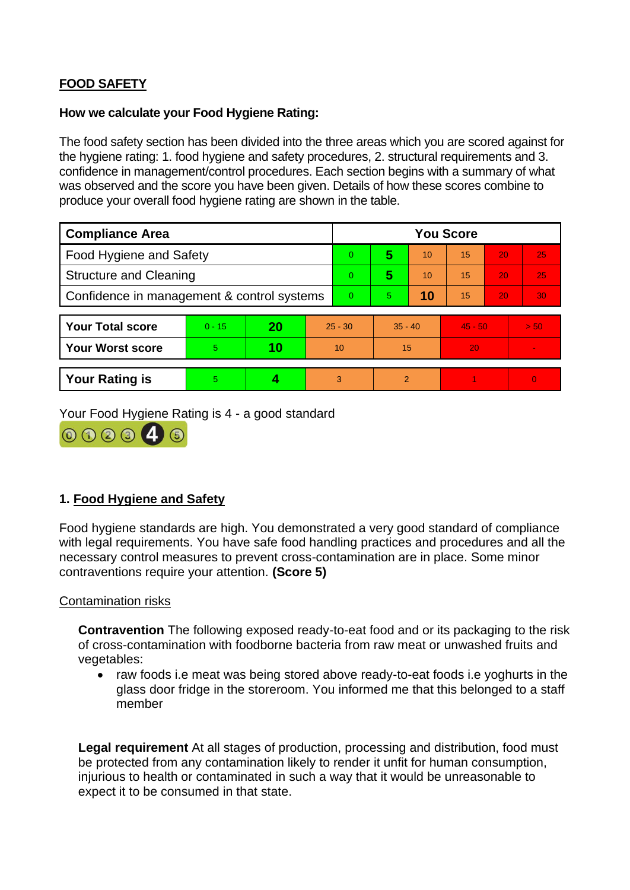# **FOOD SAFETY**

#### **How we calculate your Food Hygiene Rating:**

The food safety section has been divided into the three areas which you are scored against for the hygiene rating: 1. food hygiene and safety procedures, 2. structural requirements and 3. confidence in management/control procedures. Each section begins with a summary of what was observed and the score you have been given. Details of how these scores combine to produce your overall food hygiene rating are shown in the table.

| <b>Compliance Area</b>                     |          |    |           | <b>You Score</b> |               |    |           |    |                |
|--------------------------------------------|----------|----|-----------|------------------|---------------|----|-----------|----|----------------|
| <b>Food Hygiene and Safety</b>             |          |    |           | $\overline{0}$   | 5             | 10 | 15        | 20 | 25             |
| <b>Structure and Cleaning</b>              |          |    |           | $\Omega$         | 5             | 10 | 15        | 20 | 25             |
| Confidence in management & control systems |          |    |           | $\Omega$         | 5.            | 10 | 15        | 20 | 30             |
|                                            |          |    |           |                  |               |    |           |    |                |
| <b>Your Total score</b>                    | $0 - 15$ | 20 | $25 - 30$ |                  | $35 - 40$     |    | $45 - 50$ |    | > 50           |
| <b>Your Worst score</b>                    | 5        | 10 | 10        |                  | 15            |    | 20        |    | $\blacksquare$ |
|                                            |          |    |           |                  |               |    |           |    |                |
| <b>Your Rating is</b>                      | 5        |    |           | 3                | $\mathcal{P}$ |    |           |    | $\overline{0}$ |

Your Food Hygiene Rating is 4 - a good standard



## **1. Food Hygiene and Safety**

Food hygiene standards are high. You demonstrated a very good standard of compliance with legal requirements. You have safe food handling practices and procedures and all the necessary control measures to prevent cross-contamination are in place. Some minor contraventions require your attention. **(Score 5)**

### Contamination risks

**Contravention** The following exposed ready-to-eat food and or its packaging to the risk of cross-contamination with foodborne bacteria from raw meat or unwashed fruits and vegetables:

• raw foods i.e meat was being stored above ready-to-eat foods i.e yoghurts in the glass door fridge in the storeroom. You informed me that this belonged to a staff member

**Legal requirement** At all stages of production, processing and distribution, food must be protected from any contamination likely to render it unfit for human consumption, injurious to health or contaminated in such a way that it would be unreasonable to expect it to be consumed in that state.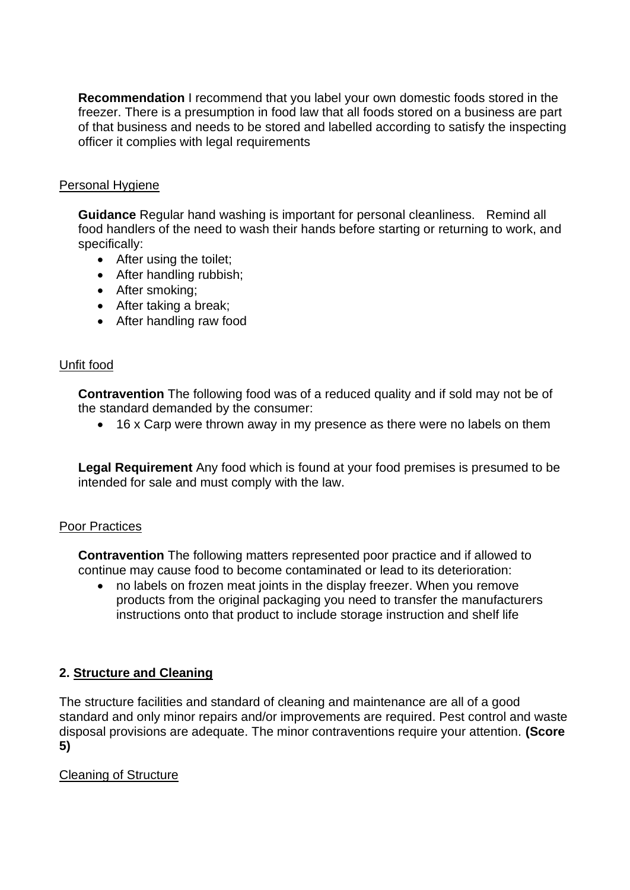**Recommendation** I recommend that you label your own domestic foods stored in the freezer. There is a presumption in food law that all foods stored on a business are part of that business and needs to be stored and labelled according to satisfy the inspecting officer it complies with legal requirements

### Personal Hygiene

**Guidance** Regular hand washing is important for personal cleanliness. Remind all food handlers of the need to wash their hands before starting or returning to work, and specifically:

- After using the toilet;
- After handling rubbish;
- After smoking;
- After taking a break;
- After handling raw food

### Unfit food

**Contravention** The following food was of a reduced quality and if sold may not be of the standard demanded by the consumer:

• 16 x Carp were thrown away in my presence as there were no labels on them

**Legal Requirement** Any food which is found at your food premises is presumed to be intended for sale and must comply with the law.

### Poor Practices

**Contravention** The following matters represented poor practice and if allowed to continue may cause food to become contaminated or lead to its deterioration:

• no labels on frozen meat joints in the display freezer. When you remove products from the original packaging you need to transfer the manufacturers instructions onto that product to include storage instruction and shelf life

## **2. Structure and Cleaning**

The structure facilities and standard of cleaning and maintenance are all of a good standard and only minor repairs and/or improvements are required. Pest control and waste disposal provisions are adequate. The minor contraventions require your attention. **(Score 5)**

## Cleaning of Structure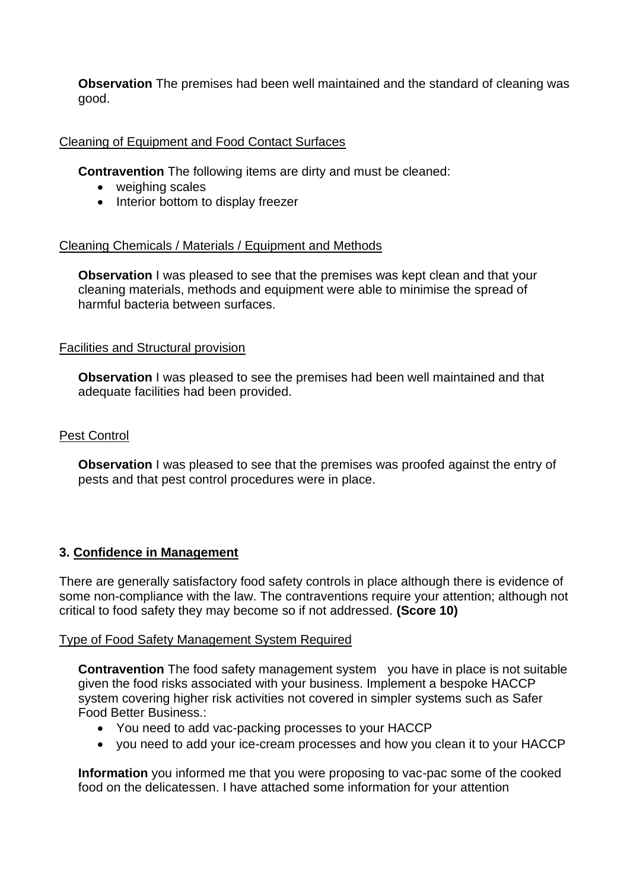**Observation** The premises had been well maintained and the standard of cleaning was good.

### Cleaning of Equipment and Food Contact Surfaces

**Contravention** The following items are dirty and must be cleaned:

- weighing scales
- Interior bottom to display freezer

### Cleaning Chemicals / Materials / Equipment and Methods

**Observation** I was pleased to see that the premises was kept clean and that your cleaning materials, methods and equipment were able to minimise the spread of harmful bacteria between surfaces.

### Facilities and Structural provision

**Observation** I was pleased to see the premises had been well maintained and that adequate facilities had been provided.

### Pest Control

**Observation** I was pleased to see that the premises was proofed against the entry of pests and that pest control procedures were in place.

### **3. Confidence in Management**

There are generally satisfactory food safety controls in place although there is evidence of some non-compliance with the law. The contraventions require your attention; although not critical to food safety they may become so if not addressed. **(Score 10)**

### Type of Food Safety Management System Required

**Contravention** The food safety management system you have in place is not suitable given the food risks associated with your business. Implement a bespoke HACCP system covering higher risk activities not covered in simpler systems such as Safer Food Better Business.:

- You need to add vac-packing processes to your HACCP
- you need to add your ice-cream processes and how you clean it to your HACCP

**Information** you informed me that you were proposing to vac-pac some of the cooked food on the delicatessen. I have attached some information for your attention